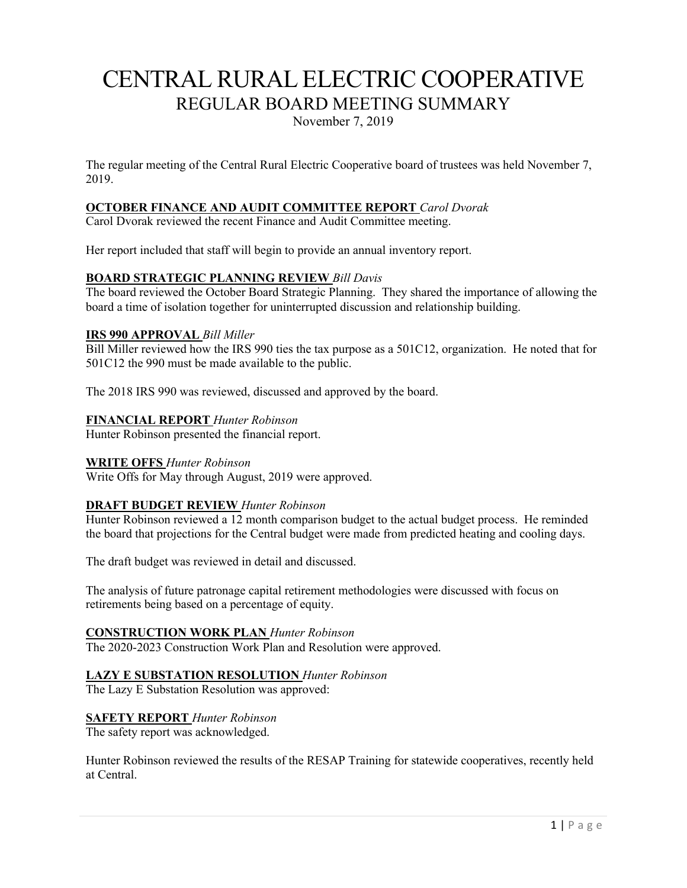# CENTRAL RURAL ELECTRIC COOPERATIVE REGULAR BOARD MEETING SUMMARY

November 7, 2019

The regular meeting of the Central Rural Electric Cooperative board of trustees was held November 7, 2019.

# **OCTOBER FINANCE AND AUDIT COMMITTEE REPORT** *Carol Dvorak*

Carol Dvorak reviewed the recent Finance and Audit Committee meeting.

Her report included that staff will begin to provide an annual inventory report.

# **BOARD STRATEGIC PLANNING REVIEW** *Bill Davis*

The board reviewed the October Board Strategic Planning. They shared the importance of allowing the board a time of isolation together for uninterrupted discussion and relationship building.

#### **IRS 990 APPROVAL** *Bill Miller*

Bill Miller reviewed how the IRS 990 ties the tax purpose as a 501C12, organization. He noted that for 501C12 the 990 must be made available to the public.

The 2018 IRS 990 was reviewed, discussed and approved by the board.

#### **FINANCIAL REPORT** *Hunter Robinson*

Hunter Robinson presented the financial report.

#### **WRITE OFFS** *Hunter Robinson*

Write Offs for May through August, 2019 were approved.

#### **DRAFT BUDGET REVIEW** *Hunter Robinson*

Hunter Robinson reviewed a 12 month comparison budget to the actual budget process. He reminded the board that projections for the Central budget were made from predicted heating and cooling days.

The draft budget was reviewed in detail and discussed.

The analysis of future patronage capital retirement methodologies were discussed with focus on retirements being based on a percentage of equity.

#### **CONSTRUCTION WORK PLAN** *Hunter Robinson*

The 2020-2023 Construction Work Plan and Resolution were approved.

#### **LAZY E SUBSTATION RESOLUTION** *Hunter Robinson*

The Lazy E Substation Resolution was approved:

#### **SAFETY REPORT** *Hunter Robinson*

The safety report was acknowledged.

Hunter Robinson reviewed the results of the RESAP Training for statewide cooperatives, recently held at Central.